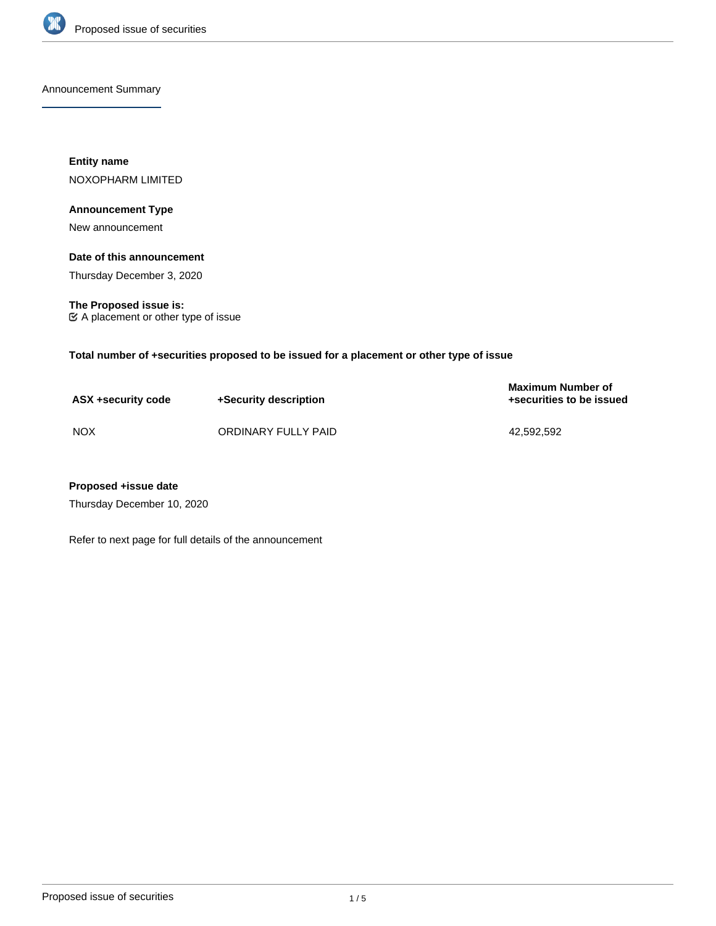

Announcement Summary

**Entity name** NOXOPHARM LIMITED

# **Announcement Type**

New announcement

# **Date of this announcement**

Thursday December 3, 2020

**The Proposed issue is:** A placement or other type of issue

**Total number of +securities proposed to be issued for a placement or other type of issue**

| ASX +security code | +Security description | <b>Maximum Number of</b><br>+securities to be issued |
|--------------------|-----------------------|------------------------------------------------------|
| <b>NOX</b>         | ORDINARY FULLY PAID   | 42.592.592                                           |

# **Proposed +issue date**

Thursday December 10, 2020

Refer to next page for full details of the announcement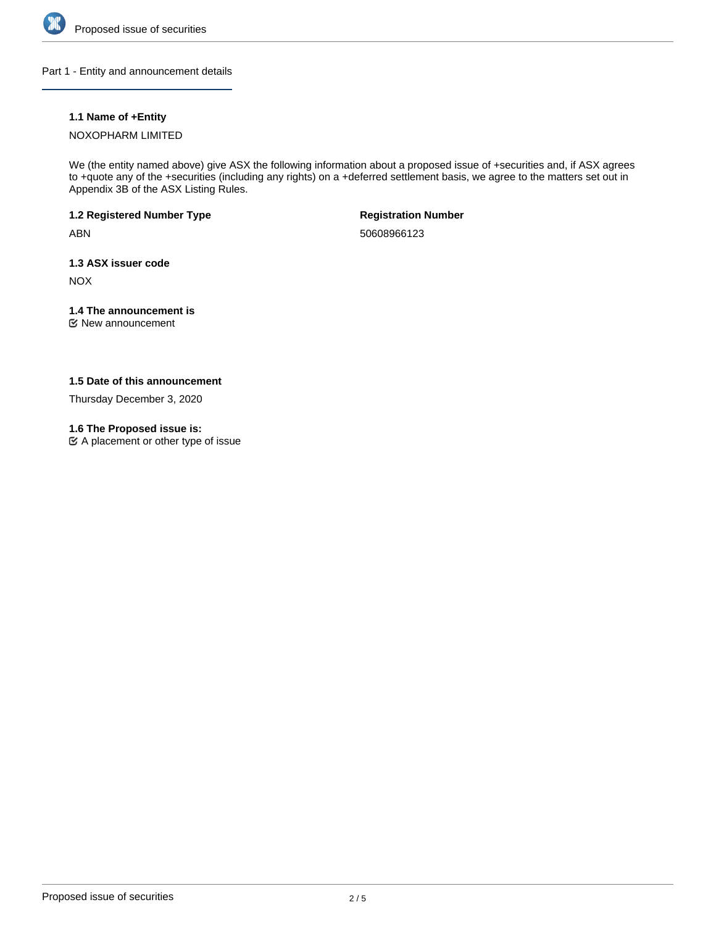

Part 1 - Entity and announcement details

# **1.1 Name of +Entity**

# NOXOPHARM LIMITED

We (the entity named above) give ASX the following information about a proposed issue of +securities and, if ASX agrees to +quote any of the +securities (including any rights) on a +deferred settlement basis, we agree to the matters set out in Appendix 3B of the ASX Listing Rules.

**1.2 Registered Number Type**

ABN

**Registration Number**

50608966123

**1.3 ASX issuer code**

NOX

# **1.4 The announcement is**

New announcement

# **1.5 Date of this announcement**

Thursday December 3, 2020

# **1.6 The Proposed issue is:**

A placement or other type of issue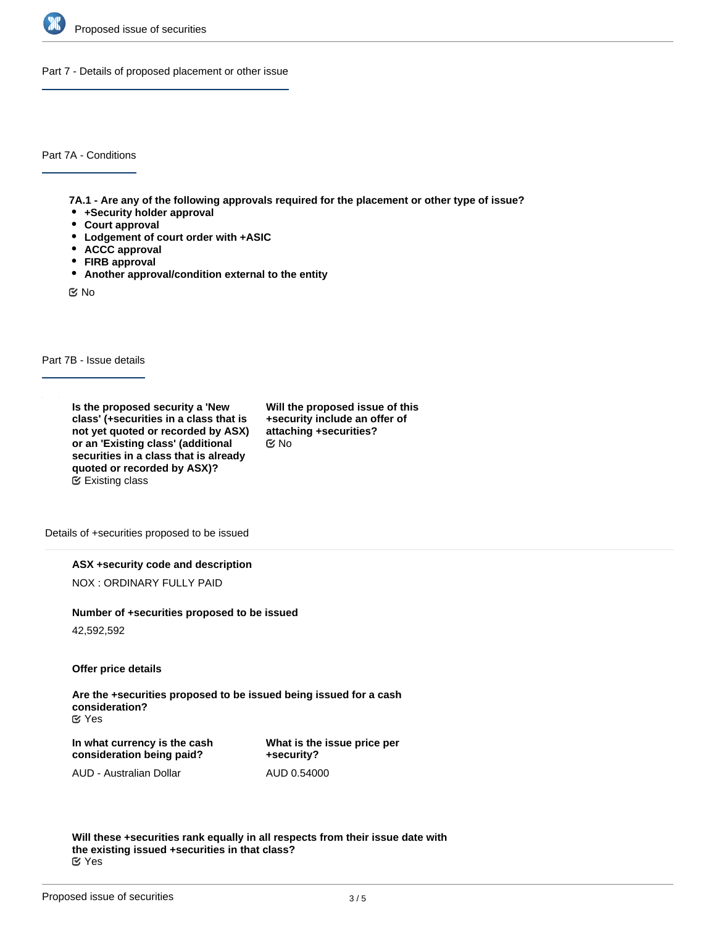

Part 7 - Details of proposed placement or other issue

Part 7A - Conditions

**7A.1 - Are any of the following approvals required for the placement or other type of issue?**

- **+Security holder approval**
- **Court approval**
- **Lodgement of court order with +ASIC**
- **ACCC approval**
- **FIRB approval**
- **Another approval/condition external to the entity**

No

Part 7B - Issue details

**Is the proposed security a 'New class' (+securities in a class that is not yet quoted or recorded by ASX) or an 'Existing class' (additional securities in a class that is already quoted or recorded by ASX)?** Existing class

**Will the proposed issue of this +security include an offer of attaching +securities?** No

Details of +securities proposed to be issued

**ASX +security code and description**

NOX : ORDINARY FULLY PAID

#### **Number of +securities proposed to be issued**

42,592,592

**Offer price details**

**Are the +securities proposed to be issued being issued for a cash consideration?** Yes

**In what currency is the cash consideration being paid?**

**What is the issue price per +security?** AUD 0.54000

AUD - Australian Dollar

**Will these +securities rank equally in all respects from their issue date with the existing issued +securities in that class?** Yes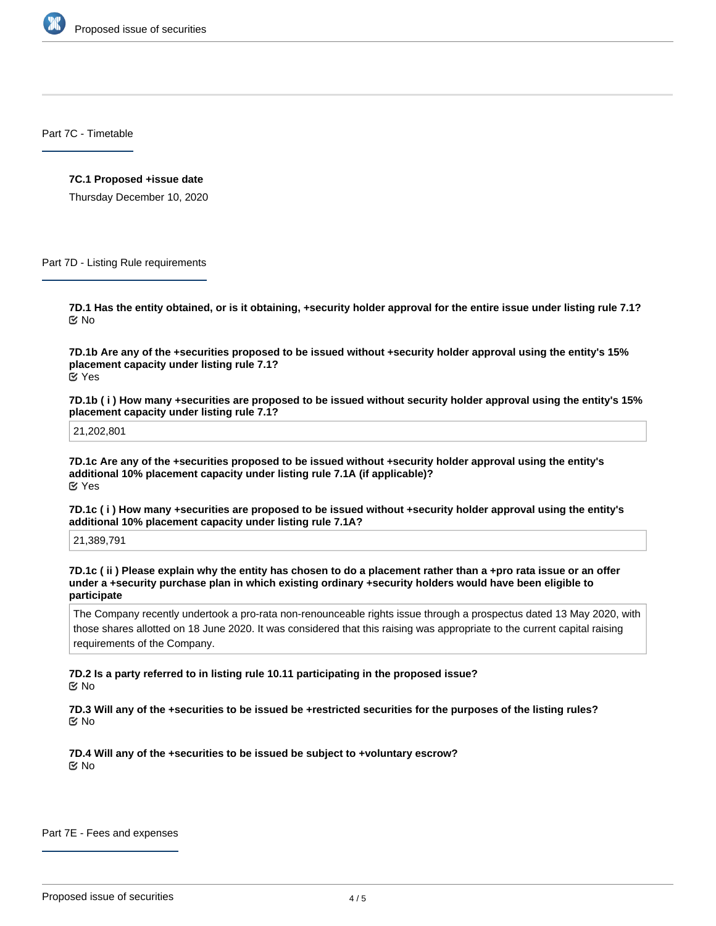

Part 7C - Timetable

#### **7C.1 Proposed +issue date**

Thursday December 10, 2020

Part 7D - Listing Rule requirements

**7D.1 Has the entity obtained, or is it obtaining, +security holder approval for the entire issue under listing rule 7.1?** No

**7D.1b Are any of the +securities proposed to be issued without +security holder approval using the entity's 15% placement capacity under listing rule 7.1?** Yes

**7D.1b ( i ) How many +securities are proposed to be issued without security holder approval using the entity's 15% placement capacity under listing rule 7.1?**

21,202,801

**7D.1c Are any of the +securities proposed to be issued without +security holder approval using the entity's additional 10% placement capacity under listing rule 7.1A (if applicable)?** Yes

**7D.1c ( i ) How many +securities are proposed to be issued without +security holder approval using the entity's additional 10% placement capacity under listing rule 7.1A?**

21,389,791

**7D.1c ( ii ) Please explain why the entity has chosen to do a placement rather than a +pro rata issue or an offer under a +security purchase plan in which existing ordinary +security holders would have been eligible to participate**

The Company recently undertook a pro-rata non-renounceable rights issue through a prospectus dated 13 May 2020, with those shares allotted on 18 June 2020. It was considered that this raising was appropriate to the current capital raising requirements of the Company.

**7D.2 Is a party referred to in listing rule 10.11 participating in the proposed issue?** No

**7D.3 Will any of the +securities to be issued be +restricted securities for the purposes of the listing rules?** No

**7D.4 Will any of the +securities to be issued be subject to +voluntary escrow?** No

Part 7E - Fees and expenses